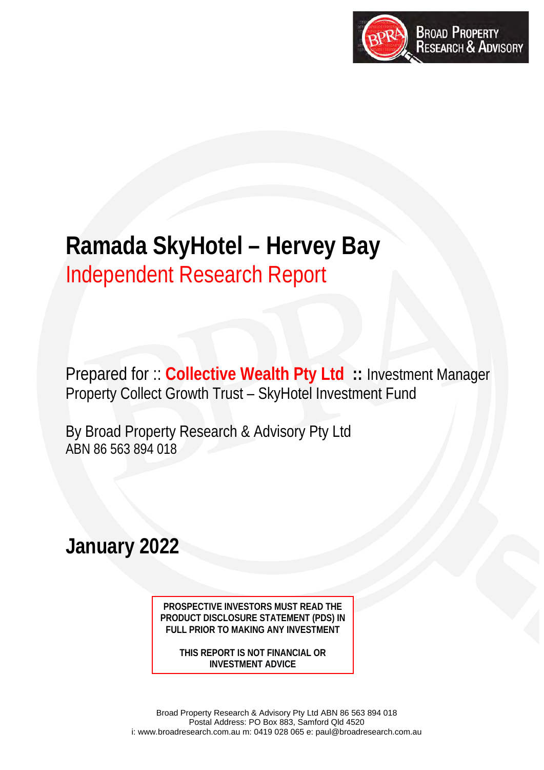

# **Ramada SkyHotel – Hervey Bay**  Independent Research Report

Prepared for :: **Collective Wealth Pty Ltd ::** Investment Manager Property Collect Growth Trust – SkyHotel Investment Fund

By Broad Property Research & Advisory Pty Ltd ABN 86 563 894 018

**January 2022**

**PROSPECTIVE INVESTORS MUST READ THE PRODUCT DISCLOSURE STATEMENT (PDS) IN FULL PRIOR TO MAKING ANY INVESTMENT** 

**THIS REPORT IS NOT FINANCIAL OR INVESTMENT ADVICE**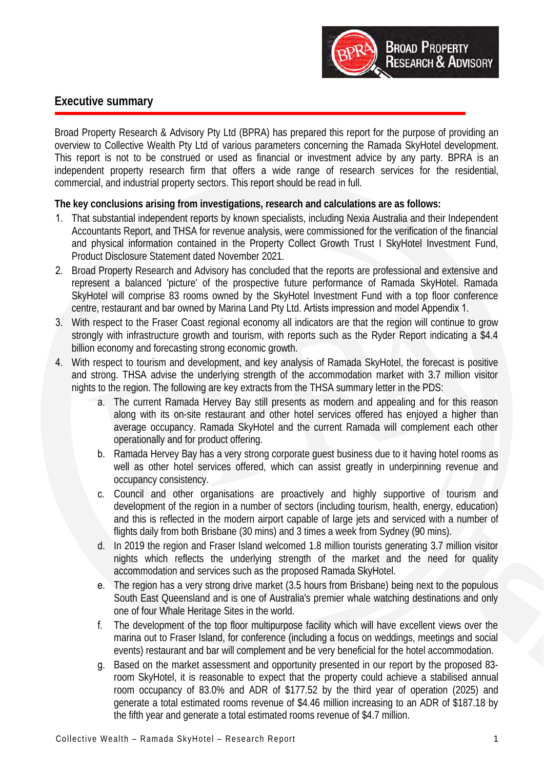

# **Executive summary**

Broad Property Research & Advisory Pty Ltd (BPRA) has prepared this report for the purpose of providing an overview to Collective Wealth Pty Ltd of various parameters concerning the Ramada SkyHotel development. This report is not to be construed or used as financial or investment advice by any party. BPRA is an independent property research firm that offers a wide range of research services for the residential, commercial, and industrial property sectors. This report should be read in full.

# **The key conclusions arising from investigations, research and calculations are as follows:**

- 1. That substantial independent reports by known specialists, including Nexia Australia and their Independent Accountants Report, and THSA for revenue analysis, were commissioned for the verification of the financial and physical information contained in the Property Collect Growth Trust I SkyHotel Investment Fund, Product Disclosure Statement dated November 2021.
- 2. Broad Property Research and Advisory has concluded that the reports are professional and extensive and represent a balanced 'picture' of the prospective future performance of Ramada SkyHotel. Ramada SkyHotel will comprise 83 rooms owned by the SkyHotel Investment Fund with a top floor conference centre, restaurant and bar owned by Marina Land Pty Ltd. Artists impression and model Appendix 1.
- 3. With respect to the Fraser Coast regional economy all indicators are that the region will continue to grow strongly with infrastructure growth and tourism, with reports such as the Ryder Report indicating a \$4.4 billion economy and forecasting strong economic growth.
- 4. With respect to tourism and development, and key analysis of Ramada SkyHotel, the forecast is positive and strong. THSA advise the underlying strength of the accommodation market with 3.7 million visitor nights to the region. The following are key extracts from the THSA summary letter in the PDS:
	- a. The current Ramada Hervey Bay still presents as modern and appealing and for this reason along with its on-site restaurant and other hotel services offered has enjoyed a higher than average occupancy. Ramada SkyHotel and the current Ramada will complement each other operationally and for product offering.
	- b. Ramada Hervey Bay has a very strong corporate guest business due to it having hotel rooms as well as other hotel services offered, which can assist greatly in underpinning revenue and occupancy consistency.
	- c. Council and other organisations are proactively and highly supportive of tourism and development of the region in a number of sectors (including tourism, health, energy, education) and this is reflected in the modern airport capable of large jets and serviced with a number of flights daily from both Brisbane (30 mins) and 3 times a week from Sydney (90 mins).
	- d. In 2019 the region and Fraser Island welcomed 1.8 million tourists generating 3.7 million visitor nights which reflects the underlying strength of the market and the need for quality accommodation and services such as the proposed Ramada SkyHotel.
	- e. The region has a very strong drive market (3.5 hours from Brisbane) being next to the populous South East Queensland and is one of Australia's premier whale watching destinations and only one of four Whale Heritage Sites in the world.
	- f. The development of the top floor multipurpose facility which will have excellent views over the marina out to Fraser Island, for conference (including a focus on weddings, meetings and social events) restaurant and bar will complement and be very beneficial for the hotel accommodation.
	- g. Based on the market assessment and opportunity presented in our report by the proposed 83 room SkyHotel, it is reasonable to expect that the property could achieve a stabilised annual room occupancy of 83.0% and ADR of \$177.52 by the third year of operation (2025) and generate a total estimated rooms revenue of \$4.46 million increasing to an ADR of \$187.18 by the fifth year and generate a total estimated rooms revenue of \$4.7 million.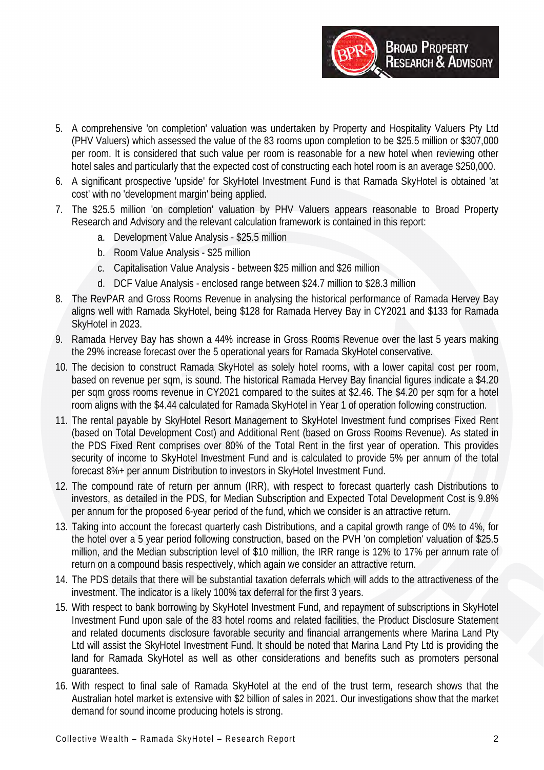

- 5. A comprehensive 'on completion' valuation was undertaken by Property and Hospitality Valuers Pty Ltd (PHV Valuers) which assessed the value of the 83 rooms upon completion to be \$25.5 million or \$307,000 per room. It is considered that such value per room is reasonable for a new hotel when reviewing other hotel sales and particularly that the expected cost of constructing each hotel room is an average \$250,000.
- 6. A significant prospective 'upside' for SkyHotel Investment Fund is that Ramada SkyHotel is obtained 'at cost' with no 'development margin' being applied.
- 7. The \$25.5 million 'on completion' valuation by PHV Valuers appears reasonable to Broad Property Research and Advisory and the relevant calculation framework is contained in this report:
	- a. Development Value Analysis \$25.5 million
	- b. Room Value Analysis \$25 million
	- c. Capitalisation Value Analysis between \$25 million and \$26 million
	- d. DCF Value Analysis enclosed range between \$24.7 million to \$28.3 million
- 8. The RevPAR and Gross Rooms Revenue in analysing the historical performance of Ramada Hervey Bay aligns well with Ramada SkyHotel, being \$128 for Ramada Hervey Bay in CY2021 and \$133 for Ramada SkyHotel in 2023.
- 9. Ramada Hervey Bay has shown a 44% increase in Gross Rooms Revenue over the last 5 years making the 29% increase forecast over the 5 operational years for Ramada SkyHotel conservative.
- 10. The decision to construct Ramada SkyHotel as solely hotel rooms, with a lower capital cost per room, based on revenue per sqm, is sound. The historical Ramada Hervey Bay financial figures indicate a \$4.20 per sqm gross rooms revenue in CY2021 compared to the suites at \$2.46. The \$4.20 per sqm for a hotel room aligns with the \$4.44 calculated for Ramada SkyHotel in Year 1 of operation following construction.
- 11. The rental payable by SkyHotel Resort Management to SkyHotel Investment fund comprises Fixed Rent (based on Total Development Cost) and Additional Rent (based on Gross Rooms Revenue). As stated in the PDS Fixed Rent comprises over 80% of the Total Rent in the first year of operation. This provides security of income to SkyHotel Investment Fund and is calculated to provide 5% per annum of the total forecast 8%+ per annum Distribution to investors in SkyHotel Investment Fund.
- 12. The compound rate of return per annum (IRR), with respect to forecast quarterly cash Distributions to investors, as detailed in the PDS, for Median Subscription and Expected Total Development Cost is 9.8% per annum for the proposed 6-year period of the fund, which we consider is an attractive return.
- 13. Taking into account the forecast quarterly cash Distributions, and a capital growth range of 0% to 4%, for the hotel over a 5 year period following construction, based on the PVH 'on completion' valuation of \$25.5 million, and the Median subscription level of \$10 million, the IRR range is 12% to 17% per annum rate of return on a compound basis respectively, which again we consider an attractive return.
- 14. The PDS details that there will be substantial taxation deferrals which will adds to the attractiveness of the investment. The indicator is a likely 100% tax deferral for the first 3 years.
- 15. With respect to bank borrowing by SkyHotel Investment Fund, and repayment of subscriptions in SkyHotel Investment Fund upon sale of the 83 hotel rooms and related facilities, the Product Disclosure Statement and related documents disclosure favorable security and financial arrangements where Marina Land Pty Ltd will assist the SkyHotel Investment Fund. It should be noted that Marina Land Pty Ltd is providing the land for Ramada SkyHotel as well as other considerations and benefits such as promoters personal guarantees.
- 16. With respect to final sale of Ramada SkyHotel at the end of the trust term, research shows that the Australian hotel market is extensive with \$2 billion of sales in 2021. Our investigations show that the market demand for sound income producing hotels is strong.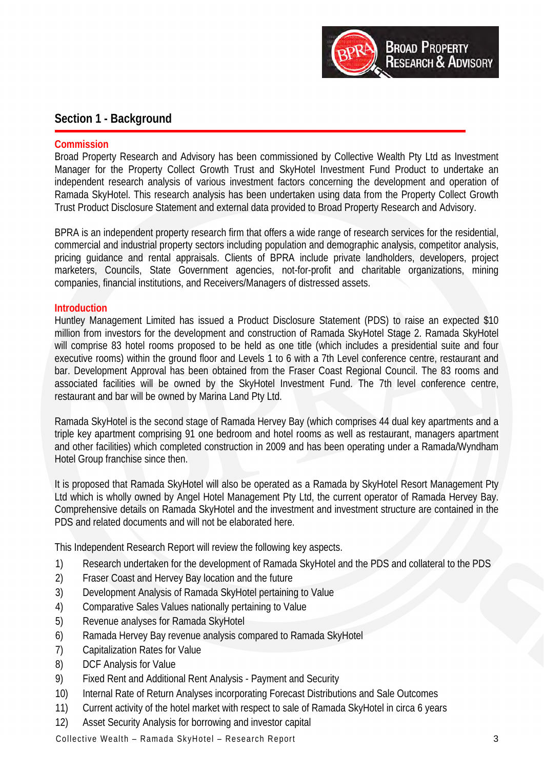

# **Section 1 - Background**

#### **Commission**

Broad Property Research and Advisory has been commissioned by Collective Wealth Pty Ltd as Investment Manager for the Property Collect Growth Trust and SkyHotel Investment Fund Product to undertake an independent research analysis of various investment factors concerning the development and operation of Ramada SkyHotel. This research analysis has been undertaken using data from the Property Collect Growth Trust Product Disclosure Statement and external data provided to Broad Property Research and Advisory.

BPRA is an independent property research firm that offers a wide range of research services for the residential, commercial and industrial property sectors including population and demographic analysis, competitor analysis, pricing guidance and rental appraisals. Clients of BPRA include private landholders, developers, project marketers, Councils, State Government agencies, not-for-profit and charitable organizations, mining companies, financial institutions, and Receivers/Managers of distressed assets.

# **Introduction**

Huntley Management Limited has issued a Product Disclosure Statement (PDS) to raise an expected \$10 million from investors for the development and construction of Ramada SkyHotel Stage 2. Ramada SkyHotel will comprise 83 hotel rooms proposed to be held as one title (which includes a presidential suite and four executive rooms) within the ground floor and Levels 1 to 6 with a 7th Level conference centre, restaurant and bar. Development Approval has been obtained from the Fraser Coast Regional Council. The 83 rooms and associated facilities will be owned by the SkyHotel Investment Fund. The 7th level conference centre, restaurant and bar will be owned by Marina Land Pty Ltd.

Ramada SkyHotel is the second stage of Ramada Hervey Bay (which comprises 44 dual key apartments and a triple key apartment comprising 91 one bedroom and hotel rooms as well as restaurant, managers apartment and other facilities) which completed construction in 2009 and has been operating under a Ramada/Wyndham Hotel Group franchise since then.

It is proposed that Ramada SkyHotel will also be operated as a Ramada by SkyHotel Resort Management Pty Ltd which is wholly owned by Angel Hotel Management Pty Ltd, the current operator of Ramada Hervey Bay. Comprehensive details on Ramada SkyHotel and the investment and investment structure are contained in the PDS and related documents and will not be elaborated here.

This Independent Research Report will review the following key aspects.

- 1) Research undertaken for the development of Ramada SkyHotel and the PDS and collateral to the PDS
- 2) Fraser Coast and Hervey Bay location and the future
- 3) Development Analysis of Ramada SkyHotel pertaining to Value
- 4) Comparative Sales Values nationally pertaining to Value
- 5) Revenue analyses for Ramada SkyHotel
- 6) Ramada Hervey Bay revenue analysis compared to Ramada SkyHotel
- 7) Capitalization Rates for Value
- 8) DCF Analysis for Value
- 9) Fixed Rent and Additional Rent Analysis Payment and Security
- 10) Internal Rate of Return Analyses incorporating Forecast Distributions and Sale Outcomes
- 11) Current activity of the hotel market with respect to sale of Ramada SkyHotel in circa 6 years
- 12) Asset Security Analysis for borrowing and investor capital

Collective Wealth – Ramada SkyHotel – Research Report 3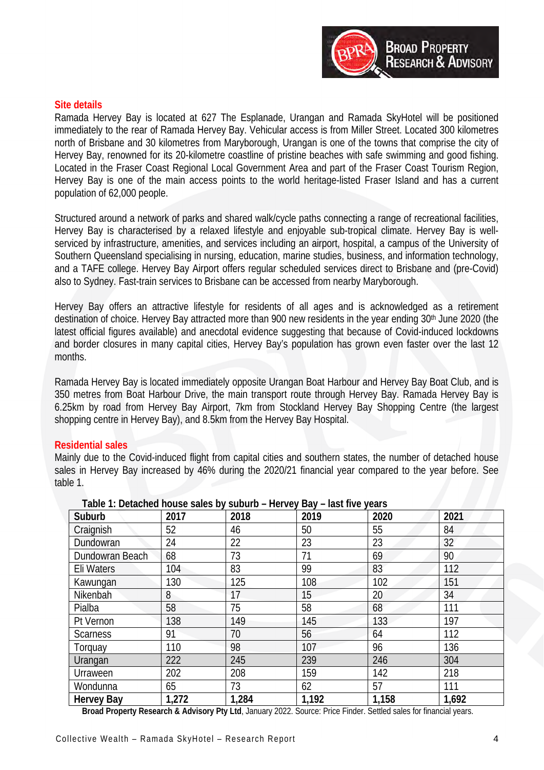

#### **Site details**

Ramada Hervey Bay is located at 627 The Esplanade, Urangan and Ramada SkyHotel will be positioned immediately to the rear of Ramada Hervey Bay. Vehicular access is from Miller Street. Located 300 kilometres north of Brisbane and 30 kilometres from Maryborough, Urangan is one of the towns that comprise the city of Hervey Bay, renowned for its 20-kilometre coastline of pristine beaches with safe swimming and good fishing. Located in the Fraser Coast Regional Local Government Area and part of the Fraser Coast Tourism Region, Hervey Bay is one of the main access points to the world heritage-listed Fraser Island and has a current population of 62,000 people.

Structured around a network of parks and shared walk/cycle paths connecting a range of recreational facilities, Hervey Bay is characterised by a relaxed lifestyle and enjoyable sub-tropical climate. Hervey Bay is wellserviced by infrastructure, amenities, and services including an airport, hospital, a campus of the University of Southern Queensland specialising in nursing, education, marine studies, business, and information technology, and a TAFE college. Hervey Bay Airport offers regular scheduled services direct to Brisbane and (pre-Covid) also to Sydney. Fast-train services to Brisbane can be accessed from nearby Maryborough.

Hervey Bay offers an attractive lifestyle for residents of all ages and is acknowledged as a retirement destination of choice. Hervey Bay attracted more than 900 new residents in the year ending 30<sup>th</sup> June 2020 (the latest official figures available) and anecdotal evidence suggesting that because of Covid-induced lockdowns and border closures in many capital cities, Hervey Bay's population has grown even faster over the last 12 months.

Ramada Hervey Bay is located immediately opposite Urangan Boat Harbour and Hervey Bay Boat Club, and is 350 metres from Boat Harbour Drive, the main transport route through Hervey Bay. Ramada Hervey Bay is 6.25km by road from Hervey Bay Airport, 7km from Stockland Hervey Bay Shopping Centre (the largest shopping centre in Hervey Bay), and 8.5km from the Hervey Bay Hospital.

#### **Residential sales**

Mainly due to the Covid-induced flight from capital cities and southern states, the number of detached house sales in Hervey Bay increased by 46% during the 2020/21 financial year compared to the year before. See table 1.

| Suburb            | 2017  | 2018  | 2019  | 2020  | 2021            |
|-------------------|-------|-------|-------|-------|-----------------|
| Craignish         | 52    | 46    | 50    | 55    | 84              |
| Dundowran         | 24    | 22    | 23    | 23    | 32 <sup>°</sup> |
| Dundowran Beach   | 68    | 73    | 71    | 69    | 90              |
| Eli Waters        | 104   | 83    | 99    | 83    | 112             |
| Kawungan          | 130   | 125   | 108   | 102   | 151             |
| Nikenbah          | 8     | 17    | 15    | 20    | 34              |
| Pialba            | 58    | 75    | 58    | 68    | 111             |
| Pt Vernon         | 138   | 149   | 145   | 133   | 197             |
| <b>Scarness</b>   | 91    | 70    | 56    | 64    | 112             |
| Torquay           | 110   | 98    | 107   | 96    | 136             |
| Urangan           | 222   | 245   | 239   | 246   | 304             |
| Urraween          | 202   | 208   | 159   | 142   | 218             |
| Wondunna          | 65    | 73    | 62    | 57    | 111             |
| <b>Hervey Bay</b> | 1,272 | 1,284 | 1,192 | 1,158 | 1,692           |

**Table 1: Detached house sales by suburb – Hervey Bay – last five years**

**Broad Property Research & Advisory Pty Ltd**, January 2022. Source: Price Finder. Settled sales for financial years.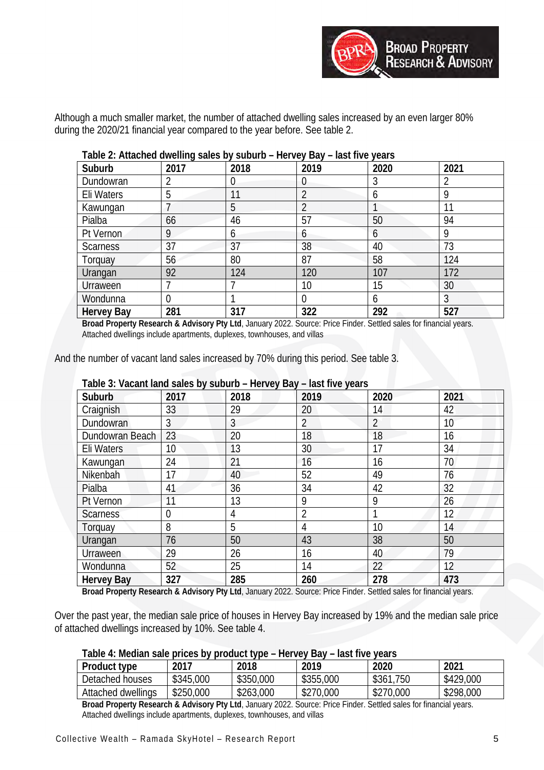

Although a much smaller market, the number of attached dwelling sales increased by an even larger 80% during the 2020/21 financial year compared to the year before. See table 2.

| Suburb            | 2017           | 2018 | 2019          | 2020 | 2021 |
|-------------------|----------------|------|---------------|------|------|
| Dundowran         |                | 0    | 0             | 3    |      |
| Eli Waters        | 5              | 11   | 2             | 6    | q    |
| Kawungan          |                | 5    |               |      | 11   |
| Pialba            | 66             | 46   | 57            | 50   | 94   |
| Pt Vernon         | 9              | 6    | $\mathfrak b$ | 6    | 9    |
| <b>Scarness</b>   | 37             | 37   | 38            | 40   | 73   |
| Torquay           | 56             | 80   | 87            | 58   | 124  |
| Urangan           | 92             | 124  | 120           | 107  | 172  |
| Urraween          |                |      | 10            | 15   | 30   |
| Wondunna          | $\overline{0}$ |      | 0             | 6    | 3    |
| <b>Hervey Bay</b> | 281            | 317  | 322           | 292  | 527  |

# **Table 2: Attached dwelling sales by suburb – Hervey Bay – last five years**

**Broad Property Research & Advisory Pty Ltd**, January 2022. Source: Price Finder. Settled sales for financial years. Attached dwellings include apartments, duplexes, townhouses, and villas

And the number of vacant land sales increased by 70% during this period. See table 3.

| i dule 5. Vacafit fariu sales by suburb – Hervey Bay – iast five years.<br>Suburb | 2017 | 2018    | 2019           | 2020           | 2021              |
|-----------------------------------------------------------------------------------|------|---------|----------------|----------------|-------------------|
| Craignish                                                                         | 33   | 29      | 20             | 14             | 42                |
| Dundowran                                                                         | 3    | 3       | $\overline{2}$ | $\overline{2}$ | 10                |
| Dundowran Beach                                                                   | 23   | 20      | 18             | 18             | 16                |
| Eli Waters                                                                        | 10   | 13      | 30             | 17             | 34                |
| Kawungan                                                                          | 24   | 21      | 16             | 16             | 70                |
| Nikenbah                                                                          | 17   | 40      | 52             | 49             | 76                |
| Pialba                                                                            | 41   | 36      | 34             | 42             | 32                |
| Pt Vernon                                                                         | 11   | 13      | 9              | 9              | 26                |
| <b>Scarness</b>                                                                   | 0    | 4       |                |                | 12                |
| Torquay                                                                           | 8    | 5       | 4              | 10             | 14                |
| Urangan                                                                           | 76   | 50      | 43             | 38             | 50                |
| Urraween                                                                          | 29   | 26      | 16             | 40             | 79                |
| Wondunna                                                                          | 52   | 25      | 14             | 22             | $12 \overline{ }$ |
| <b>Hervey Bay</b>                                                                 | 327  | 285<br> | 260            | 278            | 473               |

# **Table 3: Vacant land sales by suburb – Hervey Bay – last five years**

**Broad Property Research & Advisory Pty Ltd**, January 2022. Source: Price Finder. Settled sales for financial years.

Over the past year, the median sale price of houses in Hervey Bay increased by 19% and the median sale price of attached dwellings increased by 10%. See table 4.

#### **Table 4: Median sale prices by product type – Hervey Bay – last five years**

| <b>Product type</b> | 2017      | 2018      | 2019      | 2020      | 2021      |
|---------------------|-----------|-----------|-----------|-----------|-----------|
| Detached houses     | \$345,000 | \$350,000 | \$355,000 | \$361,750 | \$429,000 |
| Attached dwellings  | \$250,000 | \$263,000 | \$270,000 | \$270,000 | \$298,000 |

**Broad Property Research & Advisory Pty Ltd**, January 2022. Source: Price Finder. Settled sales for financial years. Attached dwellings include apartments, duplexes, townhouses, and villas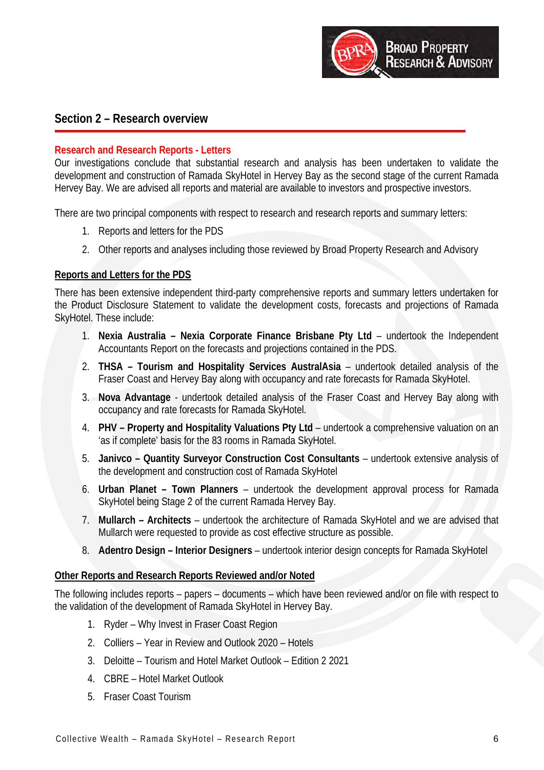

# **Section 2 – Research overview**

# **Research and Research Reports - Letters**

Our investigations conclude that substantial research and analysis has been undertaken to validate the development and construction of Ramada SkyHotel in Hervey Bay as the second stage of the current Ramada Hervey Bay. We are advised all reports and material are available to investors and prospective investors.

There are two principal components with respect to research and research reports and summary letters:

- 1. Reports and letters for the PDS
- 2. Other reports and analyses including those reviewed by Broad Property Research and Advisory

# **Reports and Letters for the PDS**

There has been extensive independent third-party comprehensive reports and summary letters undertaken for the Product Disclosure Statement to validate the development costs, forecasts and projections of Ramada SkyHotel. These include:

- 1. **Nexia Australia Nexia Corporate Finance Brisbane Pty Ltd** undertook the Independent Accountants Report on the forecasts and projections contained in the PDS.
- 2. **THSA Tourism and Hospitality Services AustralAsia** undertook detailed analysis of the Fraser Coast and Hervey Bay along with occupancy and rate forecasts for Ramada SkyHotel.
- 3. **Nova Advantage** undertook detailed analysis of the Fraser Coast and Hervey Bay along with occupancy and rate forecasts for Ramada SkyHotel.
- 4. **PHV Property and Hospitality Valuations Pty Ltd** undertook a comprehensive valuation on an 'as if complete' basis for the 83 rooms in Ramada SkyHotel.
- 5. **Janivco Quantity Surveyor Construction Cost Consultants** undertook extensive analysis of the development and construction cost of Ramada SkyHotel
- 6. **Urban Planet Town Planners** undertook the development approval process for Ramada SkyHotel being Stage 2 of the current Ramada Hervey Bay.
- 7. **Mullarch Architects** undertook the architecture of Ramada SkyHotel and we are advised that Mullarch were requested to provide as cost effective structure as possible.
- 8. **Adentro Design Interior Designers** undertook interior design concepts for Ramada SkyHotel

#### **Other Reports and Research Reports Reviewed and/or Noted**

The following includes reports – papers – documents – which have been reviewed and/or on file with respect to the validation of the development of Ramada SkyHotel in Hervey Bay.

- 1. Ryder Why Invest in Fraser Coast Region
- 2. Colliers Year in Review and Outlook 2020 Hotels
- 3. Deloitte Tourism and Hotel Market Outlook Edition 2 2021
- 4. CBRE Hotel Market Outlook
- 5. Fraser Coast Tourism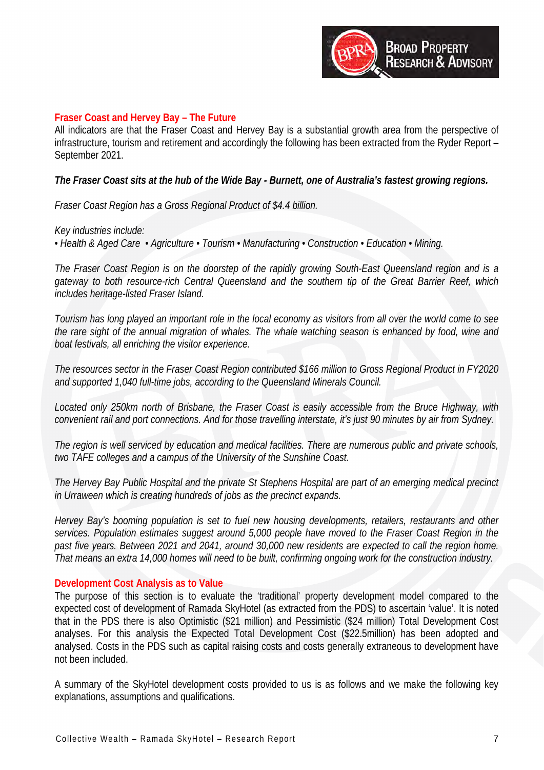

#### **Fraser Coast and Hervey Bay – The Future**

All indicators are that the Fraser Coast and Hervey Bay is a substantial growth area from the perspective of infrastructure, tourism and retirement and accordingly the following has been extracted from the Ryder Report – September 2021.

*The Fraser Coast sits at the hub of the Wide Bay - Burnett, one of Australia's fastest growing regions.*

*Fraser Coast Region has a Gross Regional Product of \$4.4 billion.* 

*Key industries include:* 

*• Health & Aged Care • Agriculture • Tourism • Manufacturing • Construction • Education • Mining.*

*The Fraser Coast Region is on the doorstep of the rapidly growing South-East Queensland region and is a gateway to both resource-rich Central Queensland and the southern tip of the Great Barrier Reef, which includes heritage-listed Fraser Island.*

*Tourism has long played an important role in the local economy as visitors from all over the world come to see the rare sight of the annual migration of whales. The whale watching season is enhanced by food, wine and boat festivals, all enriching the visitor experience.*

*The resources sector in the Fraser Coast Region contributed \$166 million to Gross Regional Product in FY2020 and supported 1,040 full-time jobs, according to the Queensland Minerals Council.*

*Located only 250km north of Brisbane, the Fraser Coast is easily accessible from the Bruce Highway, with convenient rail and port connections. And for those travelling interstate, it's just 90 minutes by air from Sydney.*

*The region is well serviced by education and medical facilities. There are numerous public and private schools, two TAFE colleges and a campus of the University of the Sunshine Coast.*

*The Hervey Bay Public Hospital and the private St Stephens Hospital are part of an emerging medical precinct in Urraween which is creating hundreds of jobs as the precinct expands.* 

*Hervey Bay's booming population is set to fuel new housing developments, retailers, restaurants and other services. Population estimates suggest around 5,000 people have moved to the Fraser Coast Region in the past five years. Between 2021 and 2041, around 30,000 new residents are expected to call the region home. That means an extra 14,000 homes will need to be built, confirming ongoing work for the construction industry.*

#### **Development Cost Analysis as to Value**

The purpose of this section is to evaluate the 'traditional' property development model compared to the expected cost of development of Ramada SkyHotel (as extracted from the PDS) to ascertain 'value'. It is noted that in the PDS there is also Optimistic (\$21 million) and Pessimistic (\$24 million) Total Development Cost analyses. For this analysis the Expected Total Development Cost (\$22.5million) has been adopted and analysed. Costs in the PDS such as capital raising costs and costs generally extraneous to development have not been included.

A summary of the SkyHotel development costs provided to us is as follows and we make the following key explanations, assumptions and qualifications.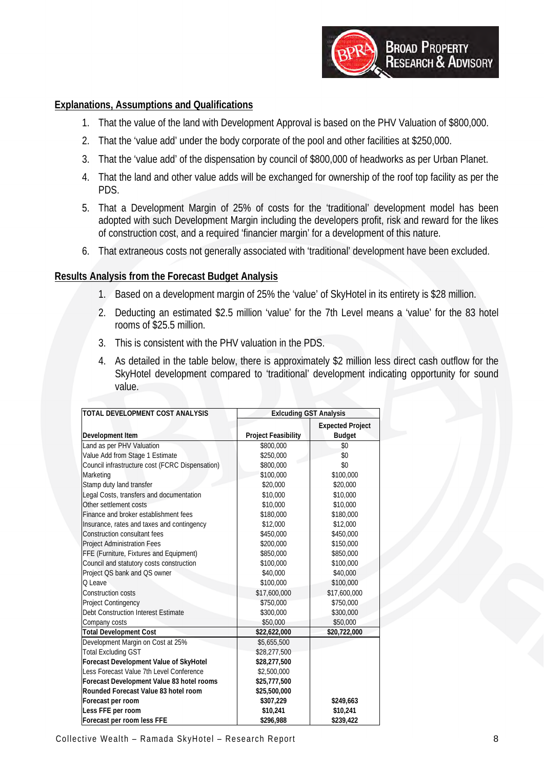

# **Explanations, Assumptions and Qualifications**

- 1. That the value of the land with Development Approval is based on the PHV Valuation of \$800,000.
- 2. That the 'value add' under the body corporate of the pool and other facilities at \$250,000.
- 3. That the 'value add' of the dispensation by council of \$800,000 of headworks as per Urban Planet.
- 4. That the land and other value adds will be exchanged for ownership of the roof top facility as per the PDS.
- 5. That a Development Margin of 25% of costs for the 'traditional' development model has been adopted with such Development Margin including the developers profit, risk and reward for the likes of construction cost, and a required 'financier margin' for a development of this nature.
- 6. That extraneous costs not generally associated with 'traditional' development have been excluded.

#### **Results Analysis from the Forecast Budget Analysis**

- 1. Based on a development margin of 25% the 'value' of SkyHotel in its entirety is \$28 million.
- 2. Deducting an estimated \$2.5 million 'value' for the 7th Level means a 'value' for the 83 hotel rooms of \$25.5 million.
- 3. This is consistent with the PHV valuation in the PDS.
- 4. As detailed in the table below, there is approximately \$2 million less direct cash outflow for the SkyHotel development compared to 'traditional' development indicating opportunity for sound value.

| TOTAL DEVELOPMENT COST ANALYSIS                 | <b>Exlcuding GST Analysis</b> |                         |
|-------------------------------------------------|-------------------------------|-------------------------|
|                                                 |                               | <b>Expected Project</b> |
| Development Item                                | <b>Project Feasibility</b>    | <b>Budget</b>           |
| Land as per PHV Valuation                       | \$800,000                     | \$0                     |
| Value Add from Stage 1 Estimate                 | \$250,000                     | \$0                     |
| Council infrastructure cost (FCRC Dispensation) | \$800,000                     | \$0                     |
| Marketing                                       | \$100,000                     | \$100,000               |
| Stamp duty land transfer                        | \$20,000                      | \$20,000                |
| Legal Costs, transfers and documentation        | \$10,000                      | \$10,000                |
| Other settlement costs                          | \$10,000                      | \$10,000                |
| Finance and broker establishment fees           | \$180,000                     | \$180,000               |
| Insurance, rates and taxes and contingency      | \$12,000                      | \$12,000                |
| <b>Construction consultant fees</b>             | \$450,000                     | \$450,000               |
| <b>Project Administration Fees</b>              | \$200,000                     | \$150,000               |
| FFE (Furniture, Fixtures and Equipment)         | \$850,000                     | \$850,000               |
| Council and statutory costs construction        | \$100,000                     | \$100,000               |
| Project QS bank and QS owner                    | \$40,000                      | \$40,000                |
| O Leave                                         | \$100,000                     | \$100,000               |
| Construction costs                              | \$17,600,000                  | \$17,600,000            |
| Project Contingency                             | \$750,000                     | \$750,000               |
| Debt Construction Interest Estimate             | \$300,000                     | \$300,000               |
| Company costs                                   | \$50,000                      | \$50,000                |
| <b>Total Development Cost</b>                   | \$22,622,000                  | \$20,722,000            |
| Development Margin on Cost at 25%               | \$5,655,500                   |                         |
| <b>Total Excluding GST</b>                      | \$28,277,500                  |                         |
| <b>Forecast Development Value of SkyHotel</b>   | \$28,277,500                  |                         |
| Less Forecast Value 7th Level Conference        | \$2,500,000                   |                         |
| Forecast Development Value 83 hotel rooms       | \$25,777,500                  |                         |
| Rounded Forecast Value 83 hotel room            | \$25,500,000                  |                         |
| Forecast per room                               | \$307,229                     | \$249,663               |
| Less FFE per room                               | \$10,241                      | \$10,241                |
| Forecast per room less FFE                      | \$296,988                     | \$239,422               |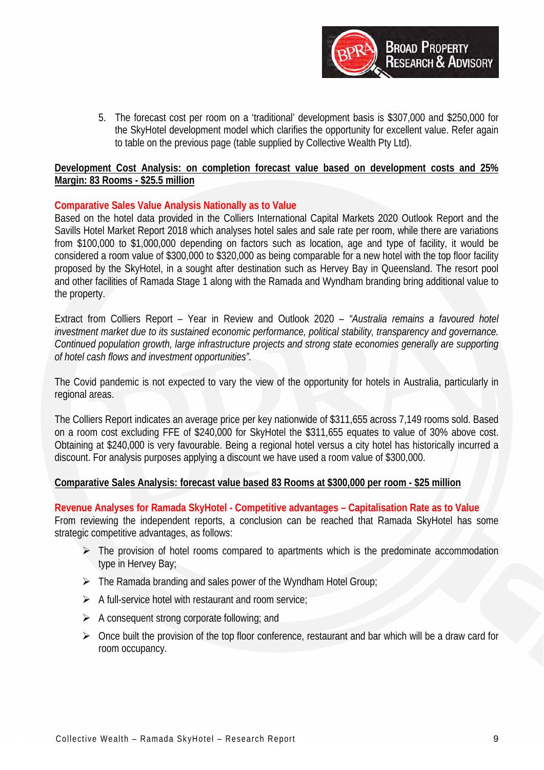

5. The forecast cost per room on a 'traditional' development basis is \$307,000 and \$250,000 for the SkyHotel development model which clarifies the opportunity for excellent value. Refer again to table on the previous page (table supplied by Collective Wealth Pty Ltd).

# **Development Cost Analysis: on completion forecast value based on development costs and 25% Margin: 83 Rooms - \$25.5 million**

# **Comparative Sales Value Analysis Nationally as to Value**

Based on the hotel data provided in the Colliers International Capital Markets 2020 Outlook Report and the Savills Hotel Market Report 2018 which analyses hotel sales and sale rate per room, while there are variations from \$100,000 to \$1,000,000 depending on factors such as location, age and type of facility, it would be considered a room value of \$300,000 to \$320,000 as being comparable for a new hotel with the top floor facility proposed by the SkyHotel, in a sought after destination such as Hervey Bay in Queensland. The resort pool and other facilities of Ramada Stage 1 along with the Ramada and Wyndham branding bring additional value to the property.

Extract from Colliers Report – Year in Review and Outlook 2020 – *"Australia remains a favoured hotel investment market due to its sustained economic performance, political stability, transparency and governance. Continued population growth, large infrastructure projects and strong state economies generally are supporting of hotel cash flows and investment opportunities".* 

The Covid pandemic is not expected to vary the view of the opportunity for hotels in Australia, particularly in regional areas.

The Colliers Report indicates an average price per key nationwide of \$311,655 across 7,149 rooms sold. Based on a room cost excluding FFE of \$240,000 for SkyHotel the \$311,655 equates to value of 30% above cost. Obtaining at \$240,000 is very favourable. Being a regional hotel versus a city hotel has historically incurred a discount. For analysis purposes applying a discount we have used a room value of \$300,000.

#### **Comparative Sales Analysis: forecast value based 83 Rooms at \$300,000 per room - \$25 million**

**Revenue Analyses for Ramada SkyHotel - Competitive advantages – Capitalisation Rate as to Value** From reviewing the independent reports, a conclusion can be reached that Ramada SkyHotel has some strategic competitive advantages, as follows:

- $\triangleright$  The provision of hotel rooms compared to apartments which is the predominate accommodation type in Hervey Bay;
- $\triangleright$  The Ramada branding and sales power of the Wyndham Hotel Group;
- $\triangleright$  A full-service hotel with restaurant and room service:
- $\triangleright$  A consequent strong corporate following; and
- $\triangleright$  Once built the provision of the top floor conference, restaurant and bar which will be a draw card for room occupancy.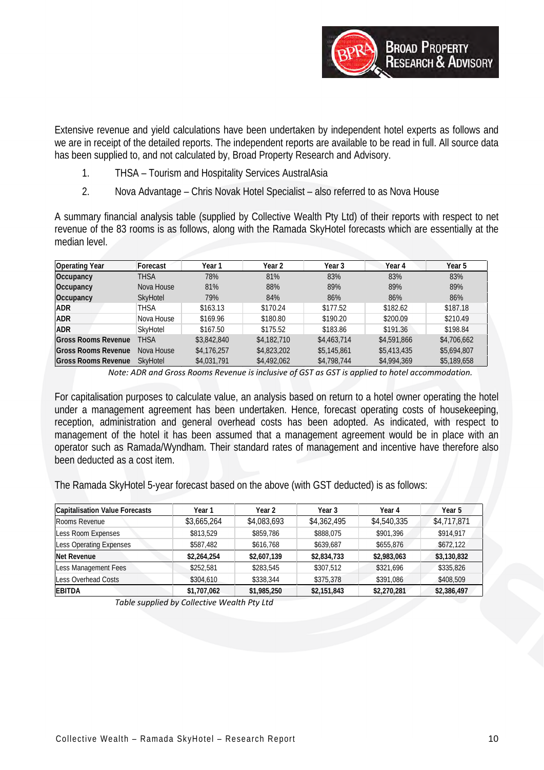

Extensive revenue and yield calculations have been undertaken by independent hotel experts as follows and we are in receipt of the detailed reports. The independent reports are available to be read in full. All source data has been supplied to, and not calculated by, Broad Property Research and Advisory.

- 1. THSA Tourism and Hospitality Services AustralAsia
- 2. Nova Advantage Chris Novak Hotel Specialist also referred to as Nova House

A summary financial analysis table (supplied by Collective Wealth Pty Ltd) of their reports with respect to net revenue of the 83 rooms is as follows, along with the Ramada SkyHotel forecasts which are essentially at the median level.

| <b>Operating Year</b>      | Forecast        | Year 1      | Year 2      | Year 3                       | Year 4      | Year 5      |
|----------------------------|-----------------|-------------|-------------|------------------------------|-------------|-------------|
| Occupancy                  | THSA            | 78%         | 81%         | 83%                          | 83%         | 83%         |
| Occupancy                  | Nova House      | 81%         | 88%         | 89%                          | 89%         | 89%         |
| Occupancy                  | <b>SkyHotel</b> | 79%         | 84%         | 86%                          | 86%         | 86%         |
| <b>ADR</b>                 | THSA            | \$163.13    | \$170.24    | \$177.52                     | \$182.62    | \$187.18    |
| <b>ADR</b>                 | Nova House      | \$169.96    | \$180.80    | \$190.20                     | \$200.09    | \$210.49    |
| <b>ADR</b>                 | SkyHotel        | \$167.50    | \$175.52    | \$183.86                     | \$191.36    | \$198.84    |
| <b>Gross Rooms Revenue</b> | THSA            | \$3,842,840 | \$4,182,710 | \$4,463,714                  | \$4,591,866 | \$4,706,662 |
| Gross Rooms Revenue        | Nova House      | \$4,176,257 | \$4,823,202 | \$5,145,861                  | \$5,413,435 | \$5,694,807 |
| <b>Gross Rooms Revenue</b> | SkyHotel        | \$4,031,791 | \$4,492,062 | \$4,798,744                  | \$4,994,369 | \$5,189,658 |
| $\cdots$ $\cdots$          | $\sim$          |             |             | $\sim$ $\sim$ $\sim$<br>---- | .           | $\cdots$    |

*Note: ADR and Gross Rooms Revenue is inclusive of GST as GST is applied to hotel accommodation.*

For capitalisation purposes to calculate value, an analysis based on return to a hotel owner operating the hotel under a management agreement has been undertaken. Hence, forecast operating costs of housekeeping, reception, administration and general overhead costs has been adopted. As indicated, with respect to management of the hotel it has been assumed that a management agreement would be in place with an operator such as Ramada/Wyndham. Their standard rates of management and incentive have therefore also been deducted as a cost item.

The Ramada SkyHotel 5-year forecast based on the above (with GST deducted) is as follows:

| <b>Capitalisation Value Forecasts</b> | Year 1      | Year 2      | Year 3      | Year 4      | Year 5      |  |
|---------------------------------------|-------------|-------------|-------------|-------------|-------------|--|
| Rooms Revenue                         | \$3,665,264 | \$4,083,693 | \$4,362,495 | \$4,540,335 | \$4,717,871 |  |
| Less Room Expenses                    | \$813,529   | \$859,786   | \$888,075   | \$901,396   | \$914,917   |  |
| Less Operating Expenses               | \$587,482   | \$616,768   | \$639,687   | \$655,876   | \$672,122   |  |
| Net Revenue                           | \$2,264,254 | \$2,607,139 | \$2,834,733 | \$2,983,063 | \$3,130,832 |  |
| Less Management Fees                  | \$252,581   | \$283,545   | \$307,512   | \$321.696   | \$335,826   |  |
| <b>Less Overhead Costs</b>            | \$304,610   | \$338,344   | \$375,378   | \$391,086   | \$408,509   |  |
| <b>EBITDA</b>                         | \$1,707,062 | \$1,985,250 | \$2,151,843 | \$2,270,281 | \$2,386,497 |  |

*Table supplied by Collective Wealth Pty Ltd*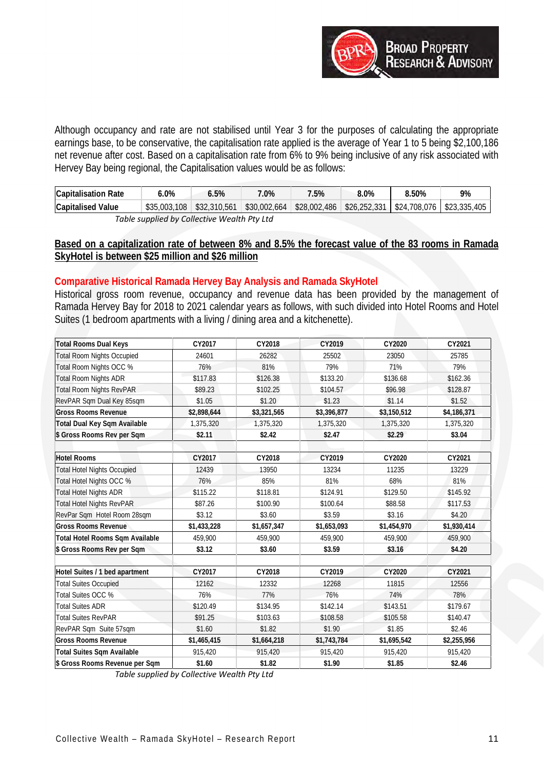

Although occupancy and rate are not stabilised until Year 3 for the purposes of calculating the appropriate earnings base, to be conservative, the capitalisation rate applied is the average of Year 1 to 5 being \$2,100,186 net revenue after cost. Based on a capitalisation rate from 6% to 9% being inclusive of any risk associated with Hervey Bay being regional, the Capitalisation values would be as follows:

| <b>Capitalisation Rate</b>                       | 6.0%                        | 6.5% | 7.0%         | 7.5% | $8.0\%$                             | 8.50%                                     | 9% |  |  |  |
|--------------------------------------------------|-----------------------------|------|--------------|------|-------------------------------------|-------------------------------------------|----|--|--|--|
| <b>Capitalised Value</b>                         | $$35.003.108$ $$32.310.561$ |      | \$30,002,664 |      | $\frac{1}{28,002,486}$ \$26,252,331 | $\frac{1}{2}$ \$24,708,076   \$23,335,405 |    |  |  |  |
| $Table$ quantical by Collective Mostly Dty $1+d$ |                             |      |              |      |                                     |                                           |    |  |  |  |

*Table supplied by Collective Wealth Pty Ltd*

# **Based on a capitalization rate of between 8% and 8.5% the forecast value of the 83 rooms in Ramada SkyHotel is between \$25 million and \$26 million**

# **Comparative Historical Ramada Hervey Bay Analysis and Ramada SkyHotel**

Historical gross room revenue, occupancy and revenue data has been provided by the management of Ramada Hervey Bay for 2018 to 2021 calendar years as follows, with such divided into Hotel Rooms and Hotel Suites (1 bedroom apartments with a living / dining area and a kitchenette).

| <b>Total Rooms Dual Keys</b>       | CY2017      | CY2018      | CY2019      | CY2020      | CY2021      |
|------------------------------------|-------------|-------------|-------------|-------------|-------------|
| <b>Total Room Nights Occupied</b>  | 24601       | 26282       | 25502       | 23050       | 25785       |
| Total Room Nights OCC %            | 76%         | 81%         | 79%         | 71%         | 79%         |
| <b>Total Room Nights ADR</b>       | \$117.83    | \$126.38    | \$133.20    | \$136.68    | \$162.36    |
| <b>Total Room Nights RevPAR</b>    | \$89.23     | \$102.25    | \$104.57    | \$96.98     | \$128.87    |
| RevPAR Sqm Dual Key 85sqm          | \$1.05      | \$1.20      | \$1.23      | \$1.14      | \$1.52      |
| <b>Gross Rooms Revenue</b>         | \$2,898,644 | \$3,321,565 | \$3,396,877 | \$3,150,512 | \$4,186,371 |
| Total Dual Key Sqm Available       | 1,375,320   | 1,375,320   | 1,375,320   | 1,375,320   | 1,375,320   |
| \$ Gross Rooms Rev per Sqm         | \$2.11      | \$2.42      | \$2.47      | \$2.29      | \$3.04      |
| <b>Hotel Rooms</b>                 | CY2017      | CY2018      | CY2019      | CY2020      | CY2021      |
| <b>Total Hotel Nights Occupied</b> | 12439       | 13950       | 13234       | 11235       | 13229       |
| Total Hotel Nights OCC %           | 76%         | 85%         | 81%         | 68%         | 81%         |
| <b>Total Hotel Nights ADR</b>      | \$115.22    | \$118.81    | \$124.91    | \$129.50    | \$145.92    |
| <b>Total Hotel Nights RevPAR</b>   | \$87.26     | \$100.90    | \$100.64    | \$88.58     | \$117.53    |
| RevPar Sqm Hotel Room 28sqm        | \$3.12      | \$3.60      | \$3.59      | \$3.16      | \$4.20      |
| <b>Gross Rooms Revenue</b>         |             |             |             |             |             |
|                                    | \$1,433,228 | \$1,657,347 | \$1,653,093 | \$1,454,970 | \$1,930,414 |
| Total Hotel Rooms Sqm Available    | 459,900     | 459.900     | 459,900     | 459.900     | 459,900     |
| \$ Gross Rooms Rev per Sqm         | \$3.12      | \$3.60      | \$3.59      | \$3.16      | \$4.20      |
| Hotel Suites / 1 bed apartment     | CY2017      | CY2018      | CY2019      | CY2020      | CY2021      |
| <b>Total Suites Occupied</b>       | 12162       | 12332       | 12268       | 11815       | 12556       |
| Total Suites OCC %                 | 76%         | 77%         | 76%         | 74%         | 78%         |
| <b>Total Suites ADR</b>            | \$120.49    | \$134.95    | \$142.14    | \$143.51    | \$179.67    |
| <b>Total Suites RevPAR</b>         | \$91.25     | \$103.63    | \$108.58    | \$105.58    | \$140.47    |
| RevPAR Sqm Suite 57sqm             | \$1.60      | \$1.82      | \$1.90      | \$1.85      | \$2.46      |
| <b>Gross Rooms Revenue</b>         | \$1,465,415 | \$1,664,218 | \$1,743,784 | \$1,695,542 | \$2,255,956 |
| <b>Total Suites Sqm Available</b>  | 915,420     | 915,420     | 915,420     | 915,420     | 915,420     |
| \$ Gross Rooms Revenue per Sqm     | \$1.60      | \$1.82      | \$1.90      | \$1.85      | \$2.46      |

*Table supplied by Collective Wealth Pty Ltd*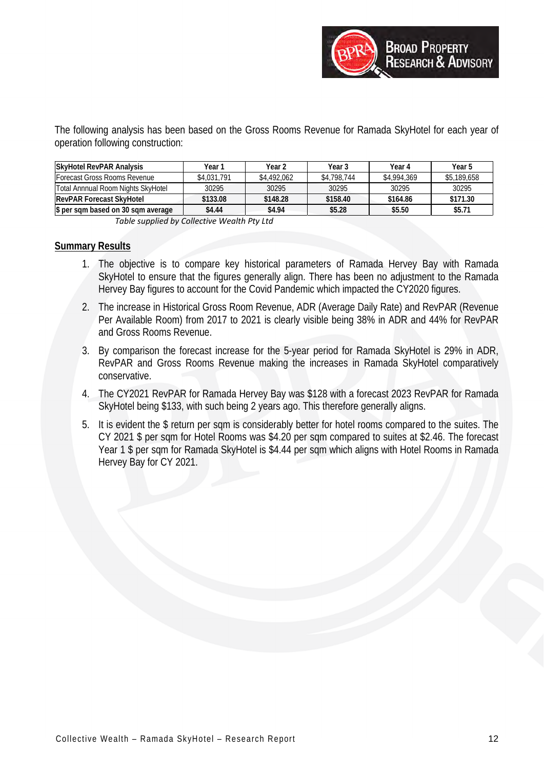The following analysis has been based on the Gross Rooms Revenue for Ramada SkyHotel for each year of operation following construction:

| <b>SkyHotel RevPAR Analysis</b>    | Year 1      | Year 2      | Year 3      | Year 4      | Year 5      |
|------------------------------------|-------------|-------------|-------------|-------------|-------------|
| Forecast Gross Rooms Revenue       | \$4,031,791 | \$4,492,062 | \$4,798,744 | \$4,994,369 | \$5,189,658 |
| Total Annnual Room Nights SkyHotel | 30295       | 30295       | 30295       | 30295       | 30295       |
| <b>RevPAR Forecast SkyHotel</b>    | \$133.08    | \$148.28    | \$158.40    | \$164.86    | \$171.30    |
| \$ per sqm based on 30 sqm average | \$4.44      | \$4.94      | \$5.28      | \$5.50      | \$5.71      |

*Table supplied by Collective Wealth Pty Ltd*

# **Summary Results**

- 1. The objective is to compare key historical parameters of Ramada Hervey Bay with Ramada SkyHotel to ensure that the figures generally align. There has been no adjustment to the Ramada Hervey Bay figures to account for the Covid Pandemic which impacted the CY2020 figures.
- 2. The increase in Historical Gross Room Revenue, ADR (Average Daily Rate) and RevPAR (Revenue Per Available Room) from 2017 to 2021 is clearly visible being 38% in ADR and 44% for RevPAR and Gross Rooms Revenue.
- 3. By comparison the forecast increase for the 5-year period for Ramada SkyHotel is 29% in ADR, RevPAR and Gross Rooms Revenue making the increases in Ramada SkyHotel comparatively conservative.
- 4. The CY2021 RevPAR for Ramada Hervey Bay was \$128 with a forecast 2023 RevPAR for Ramada SkyHotel being \$133, with such being 2 years ago. This therefore generally aligns.
- 5. It is evident the \$ return per sqm is considerably better for hotel rooms compared to the suites. The CY 2021 \$ per sqm for Hotel Rooms was \$4.20 per sqm compared to suites at \$2.46. The forecast Year 1 \$ per sqm for Ramada SkyHotel is \$4.44 per sqm which aligns with Hotel Rooms in Ramada Hervey Bay for CY 2021.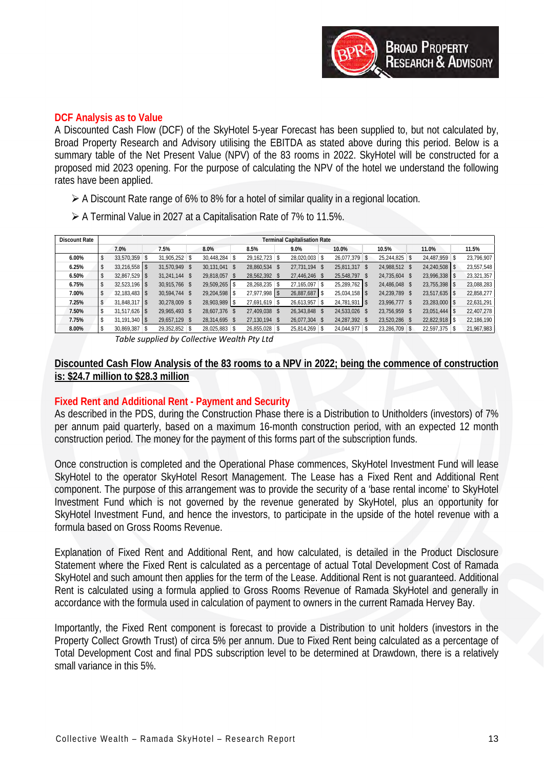

#### **DCF Analysis as to Value**

A Discounted Cash Flow (DCF) of the SkyHotel 5-year Forecast has been supplied to, but not calculated by, Broad Property Research and Advisory utilising the EBITDA as stated above during this period. Below is a summary table of the Net Present Value (NPV) of the 83 rooms in 2022. SkyHotel will be constructed for a proposed mid 2023 opening. For the purpose of calculating the NPV of the hotel we understand the following rates have been applied.

- A Discount Rate range of 6% to 8% for a hotel of similar quality in a regional location.
- A Terminal Value in 2027 at a Capitalisation Rate of 7% to 11.5%.

| <b>Discount Rate</b> |    | <b>Terminal Capitalisation Rate</b> |  |               |  |                 |  |                 |  |                 |  |                 |               |               |            |
|----------------------|----|-------------------------------------|--|---------------|--|-----------------|--|-----------------|--|-----------------|--|-----------------|---------------|---------------|------------|
|                      |    | 7.0%                                |  | 7.5%          |  | 8.0%            |  | 8.5%            |  | 9.0%            |  | 10.0%           | 10.5%         | 11.0%         | 11.5%      |
| 6.00%                | δ  | 33.570.359 \$                       |  | 31,905,252 \$ |  | 30.448.284 \$   |  | $29.162.723$ \$ |  | 28,020,003 \$   |  | $26.077.379$ \$ | 25,244,825 \$ | 24,487,959 \$ | 23,796,907 |
| 6.25%                | \$ | $33.216.558$ \$                     |  | 31.570.949 \$ |  | 30.131.041 \$   |  | 28.860.534      |  | 27.731.194 \$   |  | 25.811.317 \$   | 24,988,512 \$ | 24,240,508    | 23,557,548 |
| 6.50%                | \$ | $32,867,529$ \$                     |  | 31.241.144 \$ |  | 29,818,057 \$   |  | 28,562,392 \$   |  | 27,446,246 \$   |  | 25.548.797 \$   | 24,735,604 \$ | 23,996,338 \$ | 23,321,357 |
| 6.75%                | S  | $32,523,196$ \$                     |  | 30.915.766 \$ |  | $29.509.265$ \$ |  | 28,268,235      |  | 27.165.097 \$   |  | $25.289.762$ \$ | 24,486,048 \$ | 23,755,398 \$ | 23,088,283 |
| 7.00%                | S  | $32.183.483$ \$                     |  | 30.594.744 \$ |  | 29.204.598 \$   |  | $27.977.998$ \$ |  | 26,887,687 \$   |  | $25,034,158$ \$ | 24,239,789 \$ | 23,517,635    | 22,858,277 |
| 7.25%                |    | $31.848.317$ \$                     |  | 30,278,009 \$ |  | 28,903,989 \$   |  | 27,691,619 \$   |  | $26,613,957$ \$ |  | 24,781,931 \$   | 23,996,777 \$ | 23,283,000 \$ | 22,631,291 |
| 7.50%                |    | $31.517.626$ \$                     |  | 29.965.493 \$ |  | 28.607.376 \$   |  | 27.409.038 \$   |  | 26.343.848 \$   |  | 24,533,026 \$   | 23,756,959 \$ | 23,051,444 \$ | 22,407,278 |
| 7.75%                |    | $31,191,340$ \$                     |  | 29.657.129 \$ |  | 28,314,695 \$   |  | 27,130,194 \$   |  | 26.077.304 \$   |  | 24,287,392 \$   | 23,520,286 \$ | 22,822,918    | 22,186,190 |
| 8.00%                |    | $30,869,387$ \$                     |  | 29,352,852 \$ |  | 28,025,883 \$   |  | 26,855,028 \$   |  | $25,814,269$ \$ |  | 24,044,977 \$   | 23,286,709 \$ | 22,597,375 \$ | 21,967,983 |

*Table supplied by Collective Wealth Pty Ltd*

# **Discounted Cash Flow Analysis of the 83 rooms to a NPV in 2022; being the commence of construction is: \$24.7 million to \$28.3 million**

# **Fixed Rent and Additional Rent - Payment and Security**

As described in the PDS, during the Construction Phase there is a Distribution to Unitholders (investors) of 7% per annum paid quarterly, based on a maximum 16-month construction period, with an expected 12 month construction period. The money for the payment of this forms part of the subscription funds.

Once construction is completed and the Operational Phase commences, SkyHotel Investment Fund will lease SkyHotel to the operator SkyHotel Resort Management. The Lease has a Fixed Rent and Additional Rent component. The purpose of this arrangement was to provide the security of a 'base rental income' to SkyHotel Investment Fund which is not governed by the revenue generated by SkyHotel, plus an opportunity for SkyHotel Investment Fund, and hence the investors, to participate in the upside of the hotel revenue with a formula based on Gross Rooms Revenue.

Explanation of Fixed Rent and Additional Rent, and how calculated, is detailed in the Product Disclosure Statement where the Fixed Rent is calculated as a percentage of actual Total Development Cost of Ramada SkyHotel and such amount then applies for the term of the Lease. Additional Rent is not guaranteed. Additional Rent is calculated using a formula applied to Gross Rooms Revenue of Ramada SkyHotel and generally in accordance with the formula used in calculation of payment to owners in the current Ramada Hervey Bay.

Importantly, the Fixed Rent component is forecast to provide a Distribution to unit holders (investors in the Property Collect Growth Trust) of circa 5% per annum. Due to Fixed Rent being calculated as a percentage of Total Development Cost and final PDS subscription level to be determined at Drawdown, there is a relatively small variance in this 5%.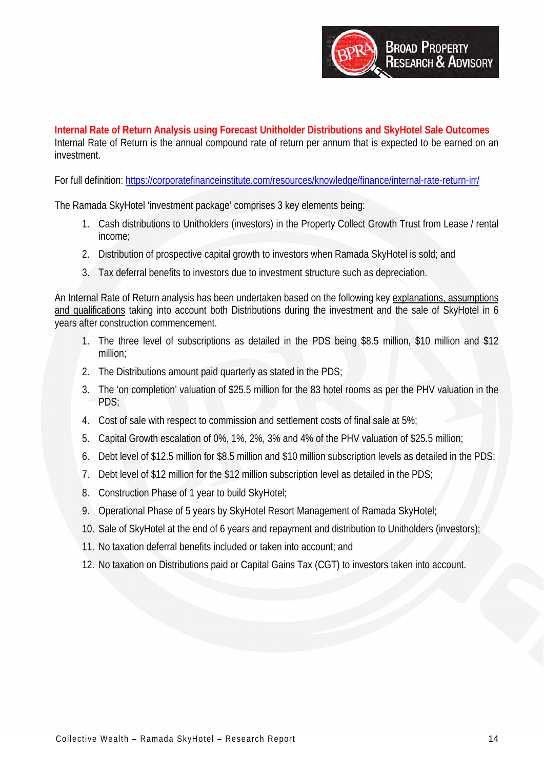

**Internal Rate of Return Analysis using Forecast Unitholder Distributions and SkyHotel Sale Outcomes** Internal Rate of Return is the annual compound rate of return per annum that is expected to be earned on an investment.

For full definition:<https://corporatefinanceinstitute.com/resources/knowledge/finance/internal-rate-return-irr/>

The Ramada SkyHotel 'investment package' comprises 3 key elements being:

- 1. Cash distributions to Unitholders (investors) in the Property Collect Growth Trust from Lease / rental income;
- 2. Distribution of prospective capital growth to investors when Ramada SkyHotel is sold; and
- 3. Tax deferral benefits to investors due to investment structure such as depreciation.

An Internal Rate of Return analysis has been undertaken based on the following key explanations, assumptions and qualifications taking into account both Distributions during the investment and the sale of SkyHotel in 6 years after construction commencement.

- 1. The three level of subscriptions as detailed in the PDS being \$8.5 million, \$10 million and \$12 million;
- 2. The Distributions amount paid quarterly as stated in the PDS;
- 3. The 'on completion' valuation of \$25.5 million for the 83 hotel rooms as per the PHV valuation in the PDS;
- 4. Cost of sale with respect to commission and settlement costs of final sale at 5%;
- 5. Capital Growth escalation of 0%, 1%, 2%, 3% and 4% of the PHV valuation of \$25.5 million;
- 6. Debt level of \$12.5 million for \$8.5 million and \$10 million subscription levels as detailed in the PDS;
- 7. Debt level of \$12 million for the \$12 million subscription level as detailed in the PDS;
- 8. Construction Phase of 1 year to build SkyHotel;
- 9. Operational Phase of 5 years by SkyHotel Resort Management of Ramada SkyHotel;
- 10. Sale of SkyHotel at the end of 6 years and repayment and distribution to Unitholders (investors);
- 11. No taxation deferral benefits included or taken into account; and
- 12. No taxation on Distributions paid or Capital Gains Tax (CGT) to investors taken into account.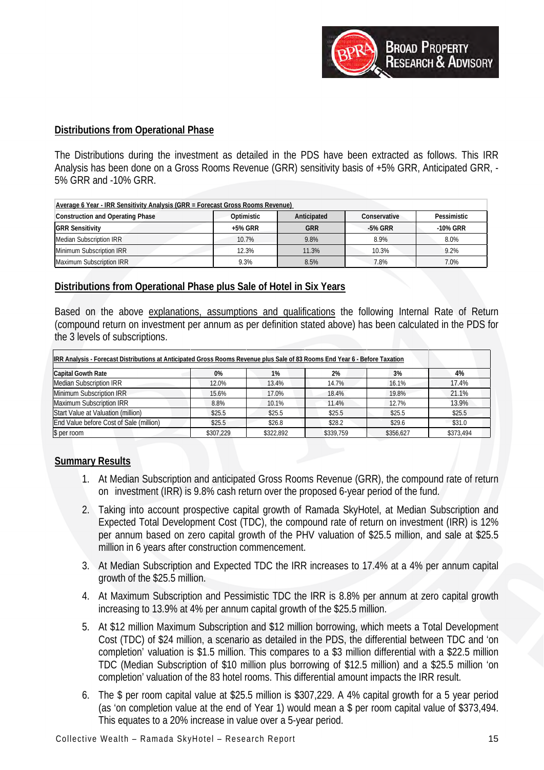

#### **Distributions from Operational Phase**

The Distributions during the investment as detailed in the PDS have been extracted as follows. This IRR Analysis has been done on a Gross Rooms Revenue (GRR) sensitivity basis of +5% GRR, Anticipated GRR, - 5% GRR and -10% GRR.

| Average 6 Year - IRR Sensitivity Analysis (GRR = Forecast Gross Rooms Revenue) |            |             |              |             |  |  |  |  |  |  |  |
|--------------------------------------------------------------------------------|------------|-------------|--------------|-------------|--|--|--|--|--|--|--|
| <b>Construction and Operating Phase</b>                                        | Optimistic | Anticipated | Conservative | Pessimistic |  |  |  |  |  |  |  |
| <b>GRR Sensitivity</b>                                                         | +5% GRR    | <b>GRR</b>  | -5% GRR      | -10% GRR    |  |  |  |  |  |  |  |
| Median Subscription IRR                                                        | 10.7%      | 9.8%        | 8.9%         | 8.0%        |  |  |  |  |  |  |  |
| Minimum Subscription IRR                                                       | 12.3%      | 11.3%       | 10.3%        | 9.2%        |  |  |  |  |  |  |  |
| Maximum Subscription IRR                                                       | 9.3%       | 8.5%        | 7.8%         | 7.0%        |  |  |  |  |  |  |  |

# **Distributions from Operational Phase plus Sale of Hotel in Six Years**

Based on the above explanations, assumptions and qualifications the following Internal Rate of Return (compound return on investment per annum as per definition stated above) has been calculated in the PDS for the 3 levels of subscriptions.

| IRR Analysis - Forecast Distributions at Anticipated Gross Rooms Revenue plus Sale of 83 Rooms End Year 6 - Before Taxation |           |           |           |           |           |
|-----------------------------------------------------------------------------------------------------------------------------|-----------|-----------|-----------|-----------|-----------|
| <b>Capital Gowth Rate</b>                                                                                                   | 0%        | 1%        | 2%        | 3%        | 4%        |
| <b>Median Subscription IRR</b>                                                                                              | 12.0%     | 13.4%     | 14.7%     | 16.1%     | 17.4%     |
| Minimum Subscription IRR                                                                                                    | 15.6%     | 17.0%     | 18.4%     | 19.8%     | 21.1%     |
| Maximum Subscription IRR                                                                                                    | 8.8%      | 10.1%     | 11.4%     | 12.7%     | 13.9%     |
| Start Value at Valuation (million)                                                                                          | \$25.5    | \$25.5    | \$25.5    | \$25.5    | \$25.5    |
| End Value before Cost of Sale (million)                                                                                     | \$25.5    | \$26.8    | \$28.2    | \$29.6    | \$31.0    |
| \$ per room                                                                                                                 | \$307.229 | \$322,892 | \$339.759 | \$356.627 | \$373.494 |

#### **Summary Results**

- 1. At Median Subscription and anticipated Gross Rooms Revenue (GRR), the compound rate of return on investment (IRR) is 9.8% cash return over the proposed 6-year period of the fund.
- 2. Taking into account prospective capital growth of Ramada SkyHotel, at Median Subscription and Expected Total Development Cost (TDC), the compound rate of return on investment (IRR) is 12% per annum based on zero capital growth of the PHV valuation of \$25.5 million, and sale at \$25.5 million in 6 years after construction commencement.
- 3. At Median Subscription and Expected TDC the IRR increases to 17.4% at a 4% per annum capital growth of the \$25.5 million.
- 4. At Maximum Subscription and Pessimistic TDC the IRR is 8.8% per annum at zero capital growth increasing to 13.9% at 4% per annum capital growth of the \$25.5 million.
- 5. At \$12 million Maximum Subscription and \$12 million borrowing, which meets a Total Development Cost (TDC) of \$24 million, a scenario as detailed in the PDS, the differential between TDC and 'on completion' valuation is \$1.5 million. This compares to a \$3 million differential with a \$22.5 million TDC (Median Subscription of \$10 million plus borrowing of \$12.5 million) and a \$25.5 million 'on completion' valuation of the 83 hotel rooms. This differential amount impacts the IRR result.
- 6. The \$ per room capital value at \$25.5 million is \$307,229. A 4% capital growth for a 5 year period (as 'on completion value at the end of Year 1) would mean a \$ per room capital value of \$373,494. This equates to a 20% increase in value over a 5-year period.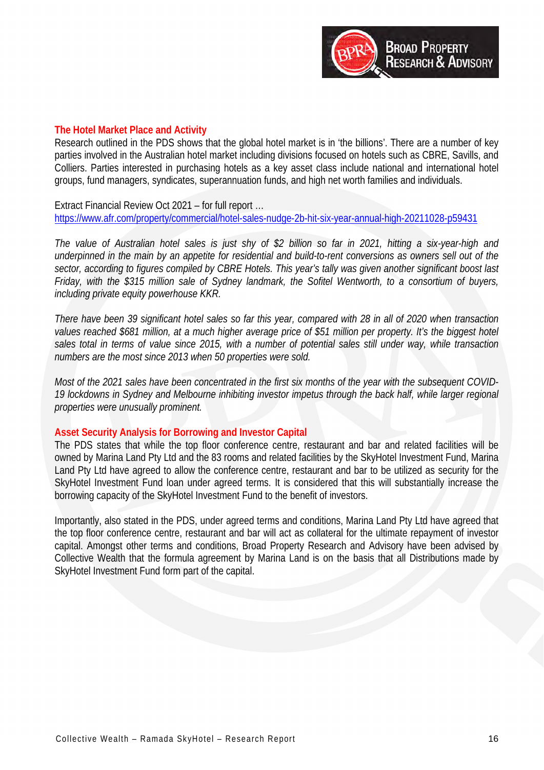

#### **The Hotel Market Place and Activity**

Research outlined in the PDS shows that the global hotel market is in 'the billions'. There are a number of key parties involved in the Australian hotel market including divisions focused on hotels such as CBRE, Savills, and Colliers. Parties interested in purchasing hotels as a key asset class include national and international hotel groups, fund managers, syndicates, superannuation funds, and high net worth families and individuals.

Extract Financial Review Oct 2021 – for full report … <https://www.afr.com/property/commercial/hotel-sales-nudge-2b-hit-six-year-annual-high-20211028-p59431>

*The value of Australian hotel sales is just shy of \$2 billion so far in 2021, hitting a six-year-high and underpinned in the main by an appetite for residential and build-to-rent conversions as owners sell out of the sector, according to figures compiled by CBRE Hotels. This year's tally was given another significant boost last Friday, with the \$315 million sale of Sydney landmark, the Sofitel Wentworth, to a consortium of buyers, including private equity powerhouse KKR.* 

*There have been 39 significant hotel sales so far this year, compared with 28 in all of 2020 when transaction*  values reached \$681 million, at a much higher average price of \$51 million per property. It's the biggest hotel *sales total in terms of value since 2015, with a number of potential sales still under way, while transaction numbers are the most since 2013 when 50 properties were sold.* 

*Most of the 2021 sales have been concentrated in the first six months of the year with the subsequent COVID-*19 lockdowns in Sydney and Melbourne inhibiting investor impetus through the back half, while *larger regional properties were unusually prominent.*

#### **Asset Security Analysis for Borrowing and Investor Capital**

The PDS states that while the top floor conference centre, restaurant and bar and related facilities will be owned by Marina Land Pty Ltd and the 83 rooms and related facilities by the SkyHotel Investment Fund, Marina Land Pty Ltd have agreed to allow the conference centre, restaurant and bar to be utilized as security for the SkyHotel Investment Fund loan under agreed terms. It is considered that this will substantially increase the borrowing capacity of the SkyHotel Investment Fund to the benefit of investors.

Importantly, also stated in the PDS, under agreed terms and conditions, Marina Land Pty Ltd have agreed that the top floor conference centre, restaurant and bar will act as collateral for the ultimate repayment of investor capital. Amongst other terms and conditions, Broad Property Research and Advisory have been advised by Collective Wealth that the formula agreement by Marina Land is on the basis that all Distributions made by SkyHotel Investment Fund form part of the capital.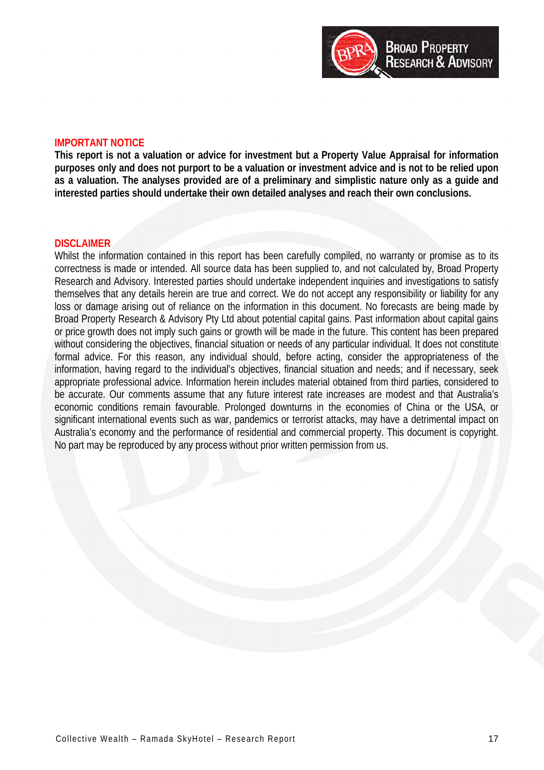

#### **IMPORTANT NOTICE**

**This report is not a valuation or advice for investment but a Property Value Appraisal for information purposes only and does not purport to be a valuation or investment advice and is not to be relied upon as a valuation. The analyses provided are of a preliminary and simplistic nature only as a guide and interested parties should undertake their own detailed analyses and reach their own conclusions.**

#### **DISCLAIMER**

Whilst the information contained in this report has been carefully compiled, no warranty or promise as to its correctness is made or intended. All source data has been supplied to, and not calculated by, Broad Property Research and Advisory. Interested parties should undertake independent inquiries and investigations to satisfy themselves that any details herein are true and correct. We do not accept any responsibility or liability for any loss or damage arising out of reliance on the information in this document. No forecasts are being made by Broad Property Research & Advisory Pty Ltd about potential capital gains. Past information about capital gains or price growth does not imply such gains or growth will be made in the future. This content has been prepared without considering the objectives, financial situation or needs of any particular individual. It does not constitute formal advice. For this reason, any individual should, before acting, consider the appropriateness of the information, having regard to the individual's objectives, financial situation and needs; and if necessary, seek appropriate professional advice. Information herein includes material obtained from third parties, considered to be accurate. Our comments assume that any future interest rate increases are modest and that Australia's economic conditions remain favourable. Prolonged downturns in the economies of China or the USA, or significant international events such as war, pandemics or terrorist attacks, may have a detrimental impact on Australia's economy and the performance of residential and commercial property. This document is copyright. No part may be reproduced by any process without prior written permission from us.